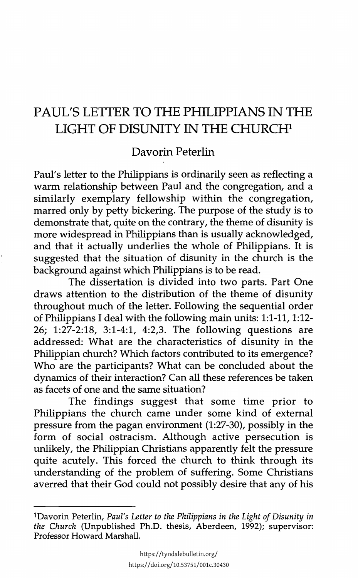## PAUL'S LETTER TO THE PHILIPPIANS IN THE LIGHT OF DISUNITY IN THE CHURCH<sup>1</sup>

## Davorin Peterlin

Paul's letter to the Philippians is ordinarily seen as reflecting a warm relationship between Paul and the congregation, and a similarly exemplary fellowship within the congregation, marred only by petty bickering. The purpose of the study is to demonstrate that, quite on the contrary, the theme of disunity is more widespread in Philippians than is usually acknowledged, and that it actually underlies the whole of Philippians. It is suggested that the situation of disunity in the church is the background against which Philippians is to be read.

The dissertation is divided into two parts. Part One draws attention to the distribution of the theme of disunity throughout much of the letter. Following the sequential order of Philippians I deal with the following main units: 1:1-11, 1:12- 26; 1:27-2:18, 3:1-4:1, 4:2,3. The following questions are addressed: What are the characteristics of disunity in the Philippian church? Which factors contributed to its emergence? Who are the participants? What can be concluded about the dynamics of their interaction? Can all these references be taken as facets of one and the same situation?

The findings suggest that some time prior to Philippians the church came under some kind of external pressure from the pagan environment (1:27-30), possibly in the form of social ostracism. Although active persecution is unlikely, the Philippian Christians apparently felt the pressure quite acutely. This forced the church to think through its understanding of the problem of suffering. Some Christians averred that their God could not possibly desire that any of his

<sup>1</sup> Davorin Peterlin, *Paul's Letter to the Philippians in the Light of Disunity in the Church* (Unpublished Ph.D. thesis, Aberdeen, 1992); supervisor: Professor Howard Marshall.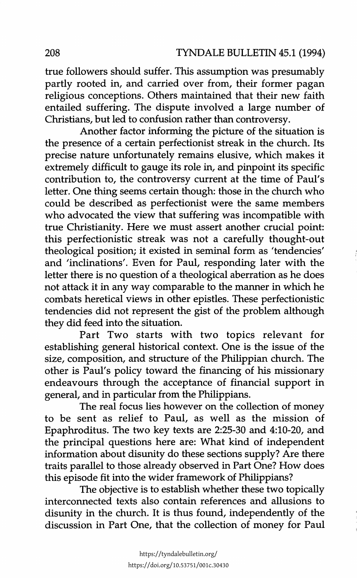true followers should suffer. This assumption was presumably partly rooted in, and carried over from, their former pagan religious conceptions. Others maintained that their new faith entailed suffering. The dispute involved a large number of Christians, but led to confusion rather than controversy.

Another factor informing the picture of the situation is the presence of a certain perfectionist streak in the church. Its precise nature unfortunately remains elusive, which makes it extremely difficult to gauge its role in, and pinpoint its specific contribution to, the controversy current at the time of Paul's letter. One thing seems certain though: those in the church who could be described as perfectionist were the same members who advocated the view that suffering was incompatible with true Christianity. Here we must assert another crucial point: this perfectionistic streak was not a carefully thought-out theological position; it existed in seminal form as 'tendencies' and 'inclinations'. Even for Paul, responding later with the letter there is no question of a theological aberration as he does not attack it in any way comparable to the manner in which he combats heretical views in other epistles. These perfectionistic tendencies did not represent the gist of the problem although they did feed into the situation.

Part Two starts with two topics relevant for establishing general historical context. One is the issue of the size, composition, and structure of the Philippian church. The other is Paul's policy toward the financing of his missionary endeavours through the acceptance of financial support in general, and in particular from the Philippians.

The real focus lies however on the collection of money to be sent as relief to Paul, as well as the mission of Epaphroditus. The two key texts are 2:25-30 and 4:10-20, and the principal questions here are: What kind of independent information about disunity do these sections supply? Are there traits parallel to those already observed in Part One? How does this episode fit into the wider framework of Philippians?

The objective is to establish whether these two topically interconnected texts also contain references and allusions to disunity in the church. It is thus found, independently of the discussion in Part One, that the collection of money for Paul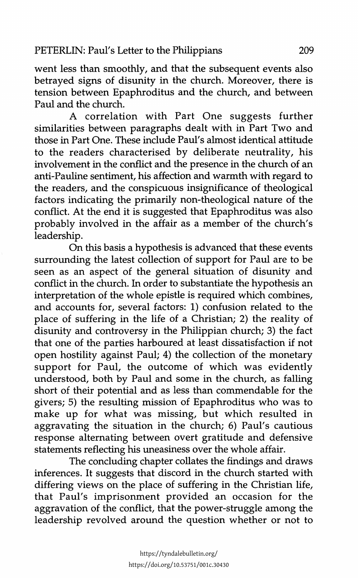went less than smoothly, and that the subsequent events also betrayed signs of disunity in the church. Moreover, there is tension between Epaphroditus and the church, and between Paul and the church.

A correlation with Part One suggests further similarities between paragraphs dealt with in Part Two and those in Part One. These include Paul's almost identical attitude to the readers characterised by deliberate neutrality, his involvement in the conflict and the presence in the church of an anti-Pauline sentiment, his affection and warmth with regard to the readers, and the conspicuous insignificance of theological factors indicating the primarily non-theological nature of the conflict. At the end it is suggested that Epaphroditus was also probably involved in the affair as a member of the church's leadership.

On this basis a hypothesis is advanced that these events surrounding the latest collection of support for Paul are to be seen as an aspect of the general situation of disunity and conflict in the church. In order to substantiate the hypothesis an interpretation of the whole epistle is required which combines, and accounts for, several factors: 1) confusion related to the place of suffering in the life of a Christian; 2) the reality of disunity and controversy in the Philippian church; 3) the fact that one of the parties harboured at least dissatisfaction if not open hostility against Paul; 4) the collection of the monetary support for Paul, the outcome of which was evidently understood, both by Paul and some in the church, as falling short of their potential and as less than commendable for the givers; 5) the resulting mission of Epaphroditus who was to make up for what was missing, but which resulted in aggravating the situation in the church; 6) Paul's cautious response alternating between overt gratitude and defensive statements reflecting his uneasiness over the whole affair.

The concluding chapter collates the findings and draws inferences. It suggests that discord in the church started with differing views on the place of suffering in the Christian life, that Paul's imprisonment provided an occasion for the aggravation of the conflict, that the power-struggle among the leadership revolved around the question whether or not to